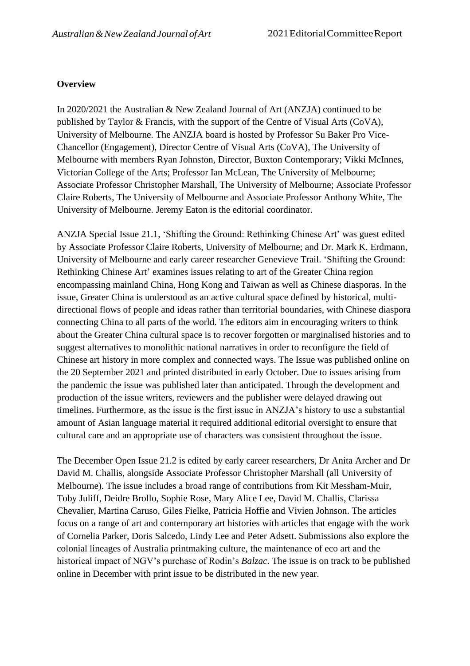### **Overview**

In 2020/2021 the Australian & New Zealand Journal of Art (ANZJA) continued to be published by Taylor & Francis, with the support of the Centre of Visual Arts (CoVA), University of Melbourne. The ANZJA board is hosted by Professor Su Baker Pro Vice-Chancellor (Engagement), Director Centre of Visual Arts (CoVA), The University of Melbourne with members Ryan Johnston, Director, Buxton Contemporary; Vikki McInnes, Victorian College of the Arts; Professor Ian McLean, The University of Melbourne; Associate Professor Christopher Marshall, The University of Melbourne; Associate Professor Claire Roberts, The University of Melbourne and Associate Professor Anthony White, The University of Melbourne. Jeremy Eaton is the editorial coordinator.

ANZJA Special Issue 21.1, 'Shifting the Ground: Rethinking Chinese Art' was guest edited by Associate Professor Claire Roberts, University of Melbourne; and Dr. Mark K. Erdmann, University of Melbourne and early career researcher Genevieve Trail. 'Shifting the Ground: Rethinking Chinese Art' examines issues relating to art of the Greater China region encompassing mainland China, Hong Kong and Taiwan as well as Chinese diasporas. In the issue, Greater China is understood as an active cultural space defined by historical, multidirectional flows of people and ideas rather than territorial boundaries, with Chinese diaspora connecting China to all parts of the world. The editors aim in encouraging writers to think about the Greater China cultural space is to recover forgotten or marginalised histories and to suggest alternatives to monolithic national narratives in order to reconfigure the field of Chinese art history in more complex and connected ways. The Issue was published online on the 20 September 2021 and printed distributed in early October. Due to issues arising from the pandemic the issue was published later than anticipated. Through the development and production of the issue writers, reviewers and the publisher were delayed drawing out timelines. Furthermore, as the issue is the first issue in ANZJA's history to use a substantial amount of Asian language material it required additional editorial oversight to ensure that cultural care and an appropriate use of characters was consistent throughout the issue.

The December Open Issue 21.2 is edited by early career researchers, Dr Anita Archer and Dr David M. Challis, alongside Associate Professor Christopher Marshall (all University of Melbourne). The issue includes a broad range of contributions from Kit Messham-Muir, Toby Juliff, Deidre Brollo, Sophie Rose, Mary Alice Lee, David M. Challis, Clarissa Chevalier, Martina Caruso, Giles Fielke, Patricia Hoffie and Vivien Johnson. The articles focus on a range of art and contemporary art histories with articles that engage with the work of Cornelia Parker, Doris Salcedo, Lindy Lee and Peter Adsett. Submissions also explore the colonial lineages of Australia printmaking culture, the maintenance of eco art and the historical impact of NGV's purchase of Rodin's *Balzac*. The issue is on track to be published online in December with print issue to be distributed in the new year.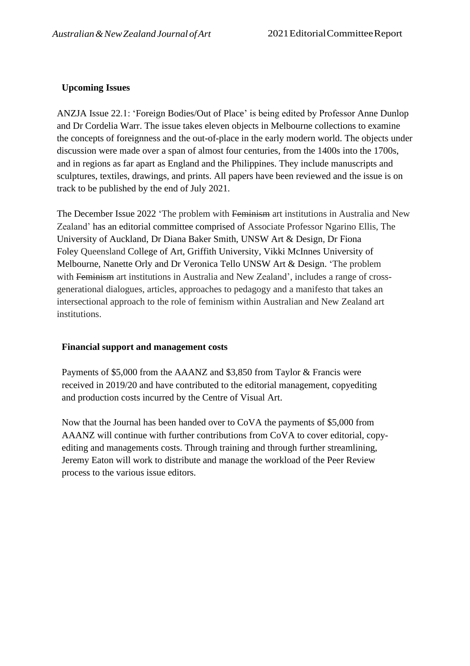# **Upcoming Issues**

ANZJA Issue 22.1: 'Foreign Bodies/Out of Place' is being edited by Professor Anne Dunlop and Dr Cordelia Warr. The issue takes eleven objects in Melbourne collections to examine the concepts of foreignness and the out-of-place in the early modern world. The objects under discussion were made over a span of almost four centuries, from the 1400s into the 1700s, and in regions as far apart as England and the Philippines. They include manuscripts and sculptures, textiles, drawings, and prints. All papers have been reviewed and the issue is on track to be published by the end of July 2021.

The December Issue 2022 'The problem with Feminism art institutions in Australia and New Zealand' has an editorial committee comprised of Associate Professor Ngarino Ellis, The University of Auckland, Dr Diana Baker Smith, UNSW Art & Design, Dr Fiona Foley Queensland College of Art, Griffith University, Vikki McInnes University of Melbourne, Nanette Orly and Dr Veronica Tello UNSW Art & Design. 'The problem with Feminism art institutions in Australia and New Zealand', includes a range of crossgenerational dialogues, articles, approaches to pedagogy and a manifesto that takes an intersectional approach to the role of feminism within Australian and New Zealand art institutions.

## **Financial support and management costs**

Payments of \$5,000 from the AAANZ and \$3,850 from Taylor & Francis were received in 2019/20 and have contributed to the editorial management, copyediting and production costs incurred by the Centre of Visual Art.

Now that the Journal has been handed over to CoVA the payments of \$5,000 from AAANZ will continue with further contributions from CoVA to cover editorial, copyediting and managements costs. Through training and through further streamlining, Jeremy Eaton will work to distribute and manage the workload of the Peer Review process to the various issue editors.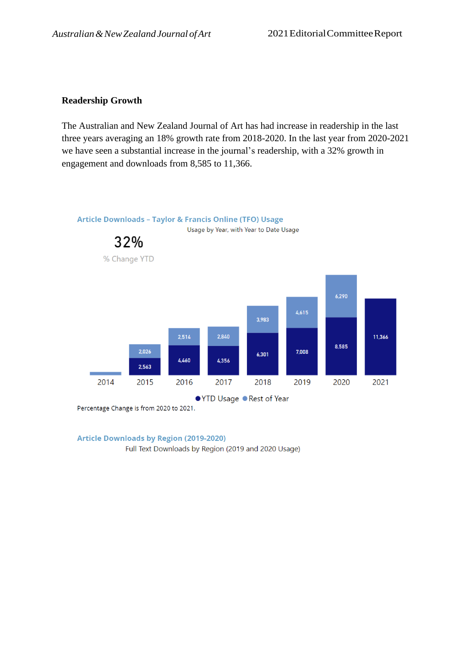### **Readership Growth**

The Australian and New Zealand Journal of Art has had increase in readership in the last three years averaging an 18% growth rate from 2018-2020. In the last year from 2020-2021 we have seen a substantial increase in the journal's readership, with a 32% growth in engagement and downloads from 8,585 to 11,366.



Percentage Change is from 2020 to 2021.

**Article Downloads by Region (2019-2020)** 

Full Text Downloads by Region (2019 and 2020 Usage)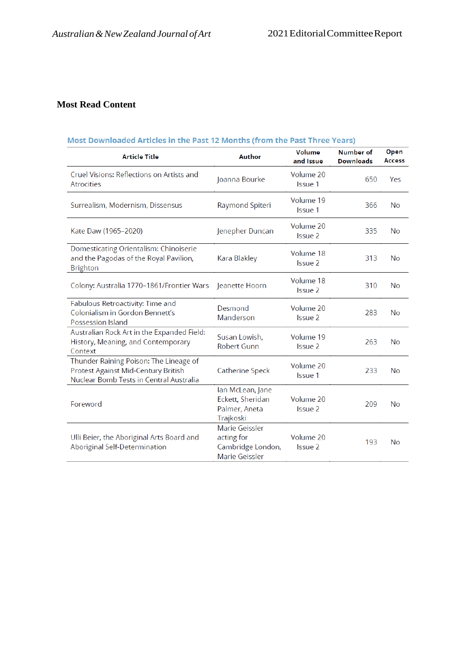# **Most Read Content**

### Most Downloaded Articles in the Past 12 Months (from the Past Three Years)

| <b>Article Title</b>                                                                                                     | Author                                                              | Volume<br>and Issue  | <b>Number of</b><br><b>Downloads</b> | Open<br><b>Access</b> |
|--------------------------------------------------------------------------------------------------------------------------|---------------------------------------------------------------------|----------------------|--------------------------------------|-----------------------|
| Cruel Visions: Reflections on Artists and<br><b>Atrocities</b>                                                           | Joanna Bourke                                                       | Volume 20<br>Issue 1 | 650                                  | Yes                   |
| Surrealism, Modernism, Dissensus                                                                                         | Raymond Spiteri                                                     | Volume 19<br>Issue 1 | 366                                  | <b>No</b>             |
| Kate Daw (1965-2020)                                                                                                     | Jenepher Duncan                                                     | Volume 20<br>Issue 2 | 335                                  | No                    |
| Domesticating Orientalism: Chinoiserie<br>and the Pagodas of the Royal Pavilion,<br><b>Brighton</b>                      | Kara Blakley                                                        | Volume 18<br>Issue 2 | 313                                  | No                    |
| Colony: Australia 1770-1861/Frontier Wars                                                                                | Jeanette Hoorn                                                      | Volume 18<br>Issue 2 | 310                                  | <b>No</b>             |
| Fabulous Retroactivity: Time and<br>Colonialism in Gordon Bennett's<br>Possession Island                                 | Desmond<br>Manderson                                                | Volume 20<br>Issue 2 | 283                                  | No                    |
| Australian Rock Art in the Expanded Field:<br>History, Meaning, and Contemporary<br>Context                              | Susan Lowish,<br><b>Robert Gunn</b>                                 | Volume 19<br>Issue 2 | 263                                  | No                    |
| Thunder Raining Poison: The Lineage of<br>Protest Against Mid-Century British<br>Nuclear Bomb Tests in Central Australia | Catherine Speck                                                     | Volume 20<br>Issue 1 | 233                                  | No                    |
| Foreword                                                                                                                 | Ian McLean, Jane<br>Eckett, Sheridan<br>Palmer, Aneta<br>Trajkoski  | Volume 20<br>Issue 2 | 209                                  | No                    |
| Ulli Beier, the Aboriginal Arts Board and<br>Aboriginal Self-Determination                                               | Marie Geissler<br>acting for<br>Cambridge London,<br>Marie Geissler | Volume 20<br>Issue 2 | 193                                  | No                    |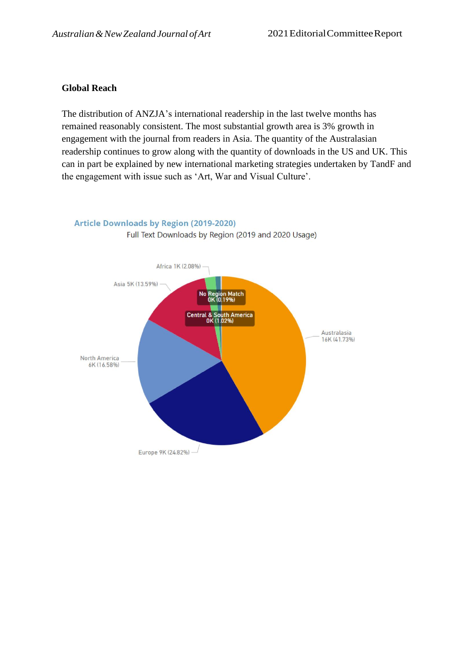### **Global Reach**

The distribution of ANZJA's international readership in the last twelve months has remained reasonably consistent. The most substantial growth area is 3% growth in engagement with the journal from readers in Asia. The quantity of the Australasian readership continues to grow along with the quantity of downloads in the US and UK. This can in part be explained by new international marketing strategies undertaken by TandF and the engagement with issue such as 'Art, War and Visual Culture'.